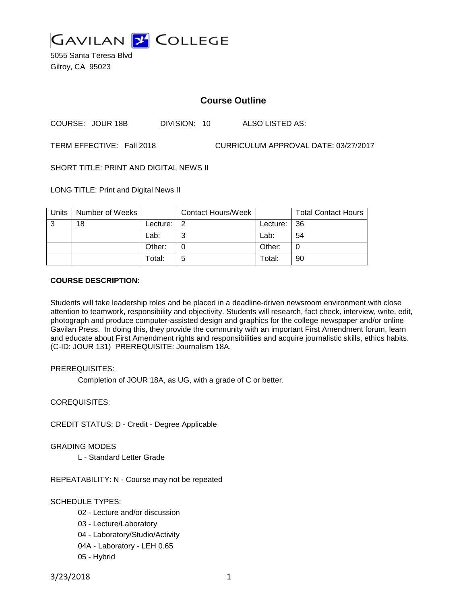

5055 Santa Teresa Blvd Gilroy, CA 95023

# **Course Outline**

COURSE: JOUR 18B DIVISION: 10 ALSO LISTED AS:

TERM EFFECTIVE: Fall 2018 CURRICULUM APPROVAL DATE: 03/27/2017

SHORT TITLE: PRINT AND DIGITAL NEWS II

LONG TITLE: Print and Digital News II

| Units | Number of Weeks |          | <b>Contact Hours/Week</b> |             | <b>Total Contact Hours</b> |
|-------|-----------------|----------|---------------------------|-------------|----------------------------|
| 3     | 18              | Lecture: | l 2                       | Lecture: 36 |                            |
|       |                 | Lab:     | ⌒                         | Lab:        | 54                         |
|       |                 | Other:   |                           | Other:      |                            |
|       |                 | Total:   | 5                         | Total:      | 90                         |

#### **COURSE DESCRIPTION:**

Students will take leadership roles and be placed in a deadline-driven newsroom environment with close attention to teamwork, responsibility and objectivity. Students will research, fact check, interview, write, edit, photograph and produce computer-assisted design and graphics for the college newspaper and/or online Gavilan Press. In doing this, they provide the community with an important First Amendment forum, learn and educate about First Amendment rights and responsibilities and acquire journalistic skills, ethics habits. (C-ID: JOUR 131) PREREQUISITE: Journalism 18A.

#### PREREQUISITES:

Completion of JOUR 18A, as UG, with a grade of C or better.

COREQUISITES:

CREDIT STATUS: D - Credit - Degree Applicable

GRADING MODES

L - Standard Letter Grade

REPEATABILITY: N - Course may not be repeated

SCHEDULE TYPES:

- 02 Lecture and/or discussion
- 03 Lecture/Laboratory
- 04 Laboratory/Studio/Activity
- 04A Laboratory LEH 0.65
- 05 Hybrid

3/23/2018 1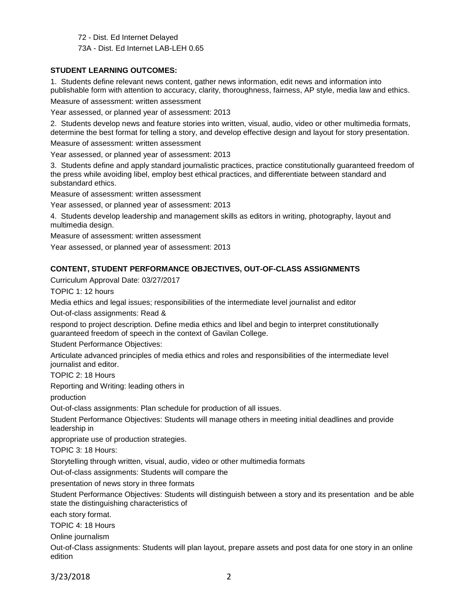72 - Dist. Ed Internet Delayed 73A - Dist. Ed Internet LAB-LEH 0.65

### **STUDENT LEARNING OUTCOMES:**

1. Students define relevant news content, gather news information, edit news and information into publishable form with attention to accuracy, clarity, thoroughness, fairness, AP style, media law and ethics. Measure of assessment: written assessment

Year assessed, or planned year of assessment: 2013

2. Students develop news and feature stories into written, visual, audio, video or other multimedia formats, determine the best format for telling a story, and develop effective design and layout for story presentation.

Measure of assessment: written assessment

Year assessed, or planned year of assessment: 2013

3. Students define and apply standard journalistic practices, practice constitutionally guaranteed freedom of the press while avoiding libel, employ best ethical practices, and differentiate between standard and substandard ethics.

Measure of assessment: written assessment

Year assessed, or planned year of assessment: 2013

4. Students develop leadership and management skills as editors in writing, photography, layout and multimedia design.

Measure of assessment: written assessment

Year assessed, or planned year of assessment: 2013

# **CONTENT, STUDENT PERFORMANCE OBJECTIVES, OUT-OF-CLASS ASSIGNMENTS**

Curriculum Approval Date: 03/27/2017

TOPIC 1: 12 hours

Media ethics and legal issues; responsibilities of the intermediate level journalist and editor

Out-of-class assignments: Read &

respond to project description. Define media ethics and libel and begin to interpret constitutionally guaranteed freedom of speech in the context of Gavilan College.

Student Performance Objectives:

Articulate advanced principles of media ethics and roles and responsibilities of the intermediate level journalist and editor.

TOPIC 2: 18 Hours

Reporting and Writing: leading others in

production

Out-of-class assignments: Plan schedule for production of all issues.

Student Performance Objectives: Students will manage others in meeting initial deadlines and provide leadership in

appropriate use of production strategies.

TOPIC 3: 18 Hours:

Storytelling through written, visual, audio, video or other multimedia formats

Out-of-class assignments: Students will compare the

presentation of news story in three formats

Student Performance Objectives: Students will distinguish between a story and its presentation and be able state the distinguishing characteristics of

each story format.

TOPIC 4: 18 Hours

Online journalism

Out-of-Class assignments: Students will plan layout, prepare assets and post data for one story in an online edition

3/23/2018 2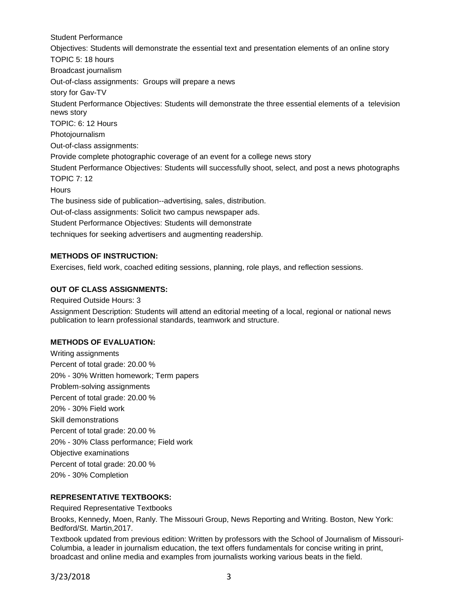Student Performance Objectives: Students will demonstrate the essential text and presentation elements of an online story TOPIC 5: 18 hours Broadcast journalism Out-of-class assignments: Groups will prepare a news story for Gav-TV Student Performance Objectives: Students will demonstrate the three essential elements of a television news story TOPIC: 6: 12 Hours Photojournalism Out-of-class assignments: Provide complete photographic coverage of an event for a college news story Student Performance Objectives: Students will successfully shoot, select, and post a news photographs TOPIC 7: 12 **Hours** The business side of publication--advertising, sales, distribution. Out-of-class assignments: Solicit two campus newspaper ads. Student Performance Objectives: Students will demonstrate techniques for seeking advertisers and augmenting readership.

### **METHODS OF INSTRUCTION:**

Exercises, field work, coached editing sessions, planning, role plays, and reflection sessions.

# **OUT OF CLASS ASSIGNMENTS:**

Required Outside Hours: 3 Assignment Description: Students will attend an editorial meeting of a local, regional or national news publication to learn professional standards, teamwork and structure.

### **METHODS OF EVALUATION:**

Writing assignments Percent of total grade: 20.00 % 20% - 30% Written homework; Term papers Problem-solving assignments Percent of total grade: 20.00 % 20% - 30% Field work Skill demonstrations Percent of total grade: 20.00 % 20% - 30% Class performance; Field work Objective examinations Percent of total grade: 20.00 % 20% - 30% Completion

### **REPRESENTATIVE TEXTBOOKS:**

Required Representative Textbooks

Brooks, Kennedy, Moen, Ranly. The Missouri Group, News Reporting and Writing. Boston, New York: Bedford/St. Martin,2017.

Textbook updated from previous edition: Written by professors with the School of Journalism of Missouri-Columbia, a leader in journalism education, the text offers fundamentals for concise writing in print, broadcast and online media and examples from journalists working various beats in the field.